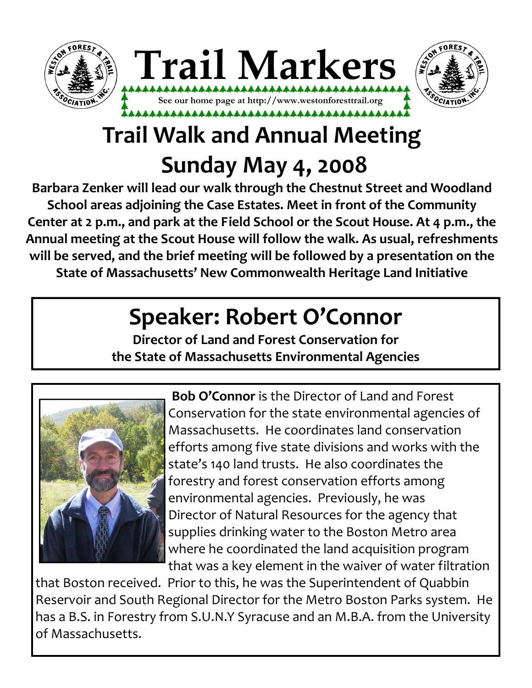



# **Trail Walk and Annual Meeting Sunday May 4, 2008**

**Barbara Zenker will lead our walk through the Chestnut Street and Woodland School areas adjoining the Case Estates. Meet in front of the Community Center at 2 p.m., and park at the Field School or the Scout House. At 4 p.m., the Annual meeting at the Scout House will follow the walk. As usual, refreshments will be served, and the brief meeting will be followed by a presentation on the State of Massachusetts' New Commonwealth Heritage Land Initiative**

## **Speaker: Robert O'Connor**

**Director of Land and Forest Conservation for the State of Massachusetts Environmental Agencies** 



**Bob O'Connor** is the Director of Land and Forest Conservation for the state environmental agencies of Massachusetts. He coordinates land conservation efforts among five state divisions and works with the state's 140 land trusts. He also coordinates the forestry and forest conservation efforts among environmental agencies. Previously, he was Director of Natural Resources for the agency that supplies drinking water to the Boston Metro area where he coordinated the land acquisition program that was a key element in the waiver of water filtration

that Boston received. Prior to this, he was the Superintendent of Quabbin Reservoir and South Regional Director for the Metro Boston Parks system. He has a B.S. in Forestry from S.U.N.Y Syracuse and an M.B.A. from the University of Massachusetts.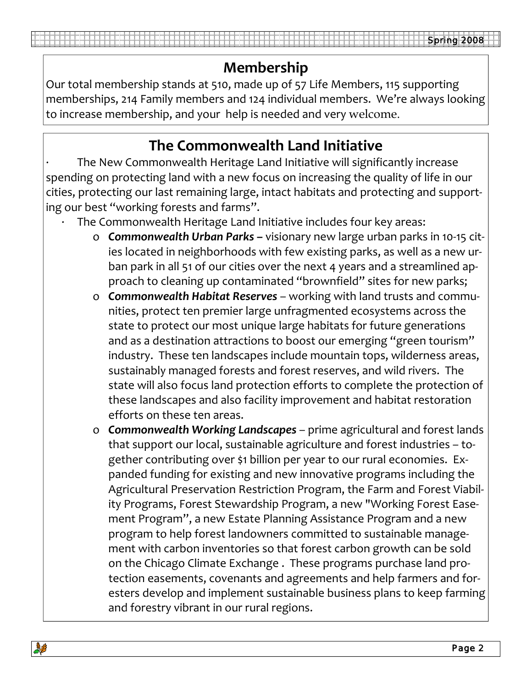Our total membership stands at 510, made up of 57 Life Members, 115 supporting memberships, 214 Family members and 124 individual members. We're always looking to increase membership, and your help is needed and very welcome.

### **The Commonwealth Land Initiative**

∙ The New Commonwealth Heritage Land Initiative will significantly increase spending on protecting land with a new focus on increasing the quality of life in our cities, protecting our last remaining large, intact habitats and protecting and support‐ ing our best "working forests and farms".

- ∙ The Commonwealth Heritage Land Initiative includes four key areas:
	- o *Commonwealth Urban Parks* **–** visionary new large urban parks in 10‐15 cit‐ ies located in neighborhoods with few existing parks, as well as a new urban park in all 51 of our cities over the next 4 years and a streamlined approach to cleaning up contaminated "brownfield" sites for new parks;
	- o *Commonwealth Habitat Reserves* working with land trusts and commu‐ nities, protect ten premier large unfragmented ecosystems across the state to protect our most unique large habitats for future generations and as a destination attractions to boost our emerging "green tourism" industry. These ten landscapes include mountain tops, wilderness areas, sustainably managed forests and forest reserves, and wild rivers. The state will also focus land protection efforts to complete the protection of these landscapes and also facility improvement and habitat restoration efforts on these ten areas.
	- o *Commonwealth Working Landscapes* prime agricultural and forest lands that support our local, sustainable agriculture and forest industries – to‐ gether contributing over \$1 billion per year to our rural economies. Ex‐ panded funding for existing and new innovative programs including the Agricultural Preservation Restriction Program, the Farm and Forest Viabil‐ ity Programs, Forest Stewardship Program, a new "Working Forest Ease‐ ment Program", a new Estate Planning Assistance Program and a new program to help forest landowners committed to sustainable manage‐ ment with carbon inventories so that forest carbon growth can be sold on the Chicago Climate Exchange . These programs purchase land pro‐ tection easements, covenants and agreements and help farmers and for‐ esters develop and implement sustainable business plans to keep farming and forestry vibrant in our rural regions.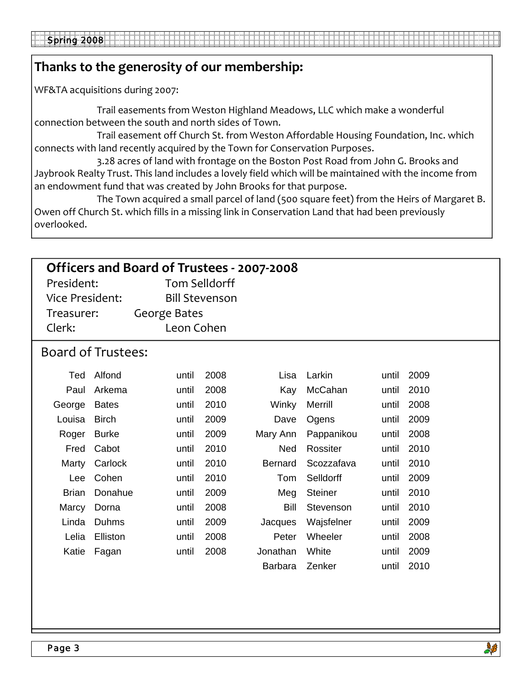#### **Thanks to the generosity of our membership:**

WF&TA acquisitions during 2007:

 Trail easements from Weston Highland Meadows, LLC which make a wonderful connection between the south and north sides of Town.

 Trail easement off Church St. from Weston Affordable Housing Foundation, Inc. which connects with land recently acquired by the Town for Conservation Purposes.

 3.28 acres of land with frontage on the Boston Post Road from John G. Brooks and Jaybrook Realty Trust. This land includes a lovely field which will be maintained with the income from an endowment fund that was created by John Brooks for that purpose.

 The Town acquired a small parcel of land (500 square feet) from the Heirs of Margaret B. Owen off Church St. which fills in a missing link in Conservation Land that had been previously overlooked.

| Officers and Board of Trustees - 2007-2008 |              |                     |                       |                |                |       |      |  |  |  |  |
|--------------------------------------------|--------------|---------------------|-----------------------|----------------|----------------|-------|------|--|--|--|--|
| President:                                 |              |                     | <b>Tom Selldorff</b>  |                |                |       |      |  |  |  |  |
| <b>Vice President:</b>                     |              |                     | <b>Bill Stevenson</b> |                |                |       |      |  |  |  |  |
| Treasurer:                                 |              | <b>George Bates</b> |                       |                |                |       |      |  |  |  |  |
| Clerk:                                     |              | Leon Cohen          |                       |                |                |       |      |  |  |  |  |
| <b>Board of Trustees:</b>                  |              |                     |                       |                |                |       |      |  |  |  |  |
| Ted                                        | Alfond       | until               | 2008                  | Lisa           | Larkin         | until | 2009 |  |  |  |  |
| Paul                                       | Arkema       | until               | 2008                  | Kay            | McCahan        | until | 2010 |  |  |  |  |
| George                                     | <b>Bates</b> | until               | 2010                  | Winky          | Merrill        | until | 2008 |  |  |  |  |
| Louisa                                     | <b>Birch</b> | until               | 2009                  | Dave           | Ogens          | until | 2009 |  |  |  |  |
| Roger                                      | <b>Burke</b> | until               | 2009                  | Mary Ann       | Pappanikou     | until | 2008 |  |  |  |  |
| Fred                                       | Cabot        | until               | 2010                  | <b>Ned</b>     | Rossiter       | until | 2010 |  |  |  |  |
| Marty                                      | Carlock      | until               | 2010                  | <b>Bernard</b> | Scozzafava     | until | 2010 |  |  |  |  |
| <b>Lee</b>                                 | Cohen        | until               | 2010                  | Tom            | Selldorff      | until | 2009 |  |  |  |  |
| <b>Brian</b>                               | Donahue      | until               | 2009                  | Meg            | <b>Steiner</b> | until | 2010 |  |  |  |  |
| Marcy                                      | Dorna        | until               | 2008                  | Bill           | Stevenson      | until | 2010 |  |  |  |  |
| Linda                                      | <b>Duhms</b> | until               | 2009                  | Jacques        | Wajsfelner     | until | 2009 |  |  |  |  |
| Lelia                                      | Elliston     | until               | 2008                  | Peter          | Wheeler        | until | 2008 |  |  |  |  |
| Katie                                      | Fagan        | until               | 2008                  | Jonathan       | White          | until | 2009 |  |  |  |  |
|                                            |              |                     |                       | <b>Barbara</b> | Zenker         | until | 2010 |  |  |  |  |
|                                            |              |                     |                       |                |                |       |      |  |  |  |  |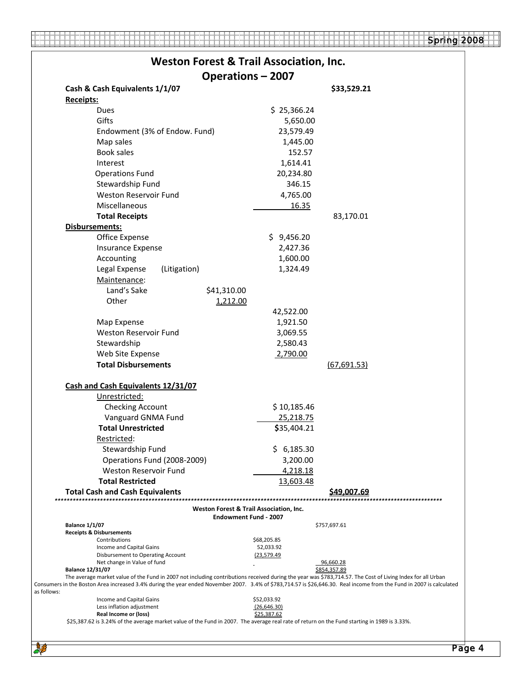.... 44

NB

444

|                                                                                                                                                                                                                                                                                                                                                                |                                                                         | <b>Weston Forest &amp; Trail Association, Inc.</b> |                    |
|----------------------------------------------------------------------------------------------------------------------------------------------------------------------------------------------------------------------------------------------------------------------------------------------------------------------------------------------------------------|-------------------------------------------------------------------------|----------------------------------------------------|--------------------|
|                                                                                                                                                                                                                                                                                                                                                                | <b>Operations - 2007</b>                                                |                                                    |                    |
| Cash & Cash Equivalents 1/1/07                                                                                                                                                                                                                                                                                                                                 |                                                                         |                                                    | \$33,529.21        |
| <b>Receipts:</b>                                                                                                                                                                                                                                                                                                                                               |                                                                         |                                                    |                    |
| Dues                                                                                                                                                                                                                                                                                                                                                           |                                                                         | \$25,366.24                                        |                    |
| Gifts                                                                                                                                                                                                                                                                                                                                                          |                                                                         | 5,650.00                                           |                    |
| Endowment (3% of Endow. Fund)                                                                                                                                                                                                                                                                                                                                  |                                                                         | 23,579.49                                          |                    |
| Map sales                                                                                                                                                                                                                                                                                                                                                      |                                                                         | 1,445.00                                           |                    |
| Book sales                                                                                                                                                                                                                                                                                                                                                     |                                                                         | 152.57                                             |                    |
| Interest                                                                                                                                                                                                                                                                                                                                                       |                                                                         | 1,614.41                                           |                    |
| <b>Operations Fund</b>                                                                                                                                                                                                                                                                                                                                         |                                                                         | 20,234.80                                          |                    |
| Stewardship Fund                                                                                                                                                                                                                                                                                                                                               |                                                                         | 346.15                                             |                    |
| Weston Reservoir Fund                                                                                                                                                                                                                                                                                                                                          |                                                                         | 4,765.00                                           |                    |
| Miscellaneous                                                                                                                                                                                                                                                                                                                                                  |                                                                         | 16.35                                              |                    |
| <b>Total Receipts</b>                                                                                                                                                                                                                                                                                                                                          |                                                                         |                                                    | 83,170.01          |
| Disbursements:                                                                                                                                                                                                                                                                                                                                                 |                                                                         |                                                    |                    |
| Office Expense                                                                                                                                                                                                                                                                                                                                                 |                                                                         | \$9,456.20                                         |                    |
| Insurance Expense                                                                                                                                                                                                                                                                                                                                              |                                                                         | 2,427.36                                           |                    |
| Accounting                                                                                                                                                                                                                                                                                                                                                     |                                                                         | 1,600.00                                           |                    |
| Legal Expense<br>(Litigation)                                                                                                                                                                                                                                                                                                                                  |                                                                         | 1,324.49                                           |                    |
| Maintenance:                                                                                                                                                                                                                                                                                                                                                   |                                                                         |                                                    |                    |
| Land's Sake                                                                                                                                                                                                                                                                                                                                                    | \$41,310.00                                                             |                                                    |                    |
| Other                                                                                                                                                                                                                                                                                                                                                          | 1,212.00                                                                |                                                    |                    |
|                                                                                                                                                                                                                                                                                                                                                                |                                                                         | 42,522.00                                          |                    |
| Map Expense                                                                                                                                                                                                                                                                                                                                                    |                                                                         | 1,921.50                                           |                    |
| <b>Weston Reservoir Fund</b>                                                                                                                                                                                                                                                                                                                                   |                                                                         | 3,069.55                                           |                    |
|                                                                                                                                                                                                                                                                                                                                                                |                                                                         | 2,580.43                                           |                    |
| Stewardship                                                                                                                                                                                                                                                                                                                                                    |                                                                         |                                                    |                    |
| Web Site Expense<br><b>Total Disbursements</b>                                                                                                                                                                                                                                                                                                                 |                                                                         | 2,790.00                                           | (67, 691.53)       |
|                                                                                                                                                                                                                                                                                                                                                                |                                                                         |                                                    |                    |
|                                                                                                                                                                                                                                                                                                                                                                |                                                                         |                                                    |                    |
| Cash and Cash Equivalents 12/31/07                                                                                                                                                                                                                                                                                                                             |                                                                         |                                                    |                    |
| Unrestricted:                                                                                                                                                                                                                                                                                                                                                  |                                                                         |                                                    |                    |
| <b>Checking Account</b>                                                                                                                                                                                                                                                                                                                                        |                                                                         | \$10,185.46                                        |                    |
| Vanguard GNMA Fund                                                                                                                                                                                                                                                                                                                                             |                                                                         | 25,218.75                                          |                    |
| <b>Total Unrestricted</b>                                                                                                                                                                                                                                                                                                                                      |                                                                         | \$35,404.21                                        |                    |
| Restricted:                                                                                                                                                                                                                                                                                                                                                    |                                                                         |                                                    |                    |
| Stewardship Fund                                                                                                                                                                                                                                                                                                                                               |                                                                         | \$<br>6,185.30                                     |                    |
| Operations Fund (2008-2009)                                                                                                                                                                                                                                                                                                                                    |                                                                         | 3,200.00                                           |                    |
| Weston Reservoir Fund                                                                                                                                                                                                                                                                                                                                          |                                                                         | 4,218.18                                           |                    |
| <b>Total Restricted</b>                                                                                                                                                                                                                                                                                                                                        |                                                                         | 13,603.48                                          |                    |
| <b>Total Cash and Cash Equivalents</b>                                                                                                                                                                                                                                                                                                                         |                                                                         |                                                    | S4 <u>9.007.69</u> |
|                                                                                                                                                                                                                                                                                                                                                                | Weston Forest & Trail Association, Inc.<br><b>Endowment Fund - 2007</b> |                                                    |                    |
| <b>Balance 1/1/07</b>                                                                                                                                                                                                                                                                                                                                          |                                                                         |                                                    | \$757,697.61       |
| <b>Receipts &amp; Disbursements</b>                                                                                                                                                                                                                                                                                                                            |                                                                         |                                                    |                    |
| Contributions<br>Income and Capital Gains                                                                                                                                                                                                                                                                                                                      |                                                                         | \$68,205.85<br>52,033.92                           |                    |
| Disbursement to Operating Account                                                                                                                                                                                                                                                                                                                              |                                                                         | <u>(23,579.49</u>                                  |                    |
| Net change in Value of fund                                                                                                                                                                                                                                                                                                                                    |                                                                         |                                                    | 96,660.28          |
| <b>Balance 12/31/07</b><br>The average market value of the Fund in 2007 not including contributions received during the year was \$783,714.57. The Cost of Living Index for all Urban<br>Consumers in the Boston Area increased 3.4% during the year ended November 2007. 3.4% of \$783,714.57 is \$26,646.30. Real income from the Fund in 2007 is calculated |                                                                         |                                                    | \$854,357.89       |
| as follows:<br>Income and Capital Gains                                                                                                                                                                                                                                                                                                                        |                                                                         | \$52,033.92                                        |                    |
| Less inflation adjustment<br>Real Income or (loss)                                                                                                                                                                                                                                                                                                             |                                                                         | (26, 646.30)<br>\$25,387.62                        |                    |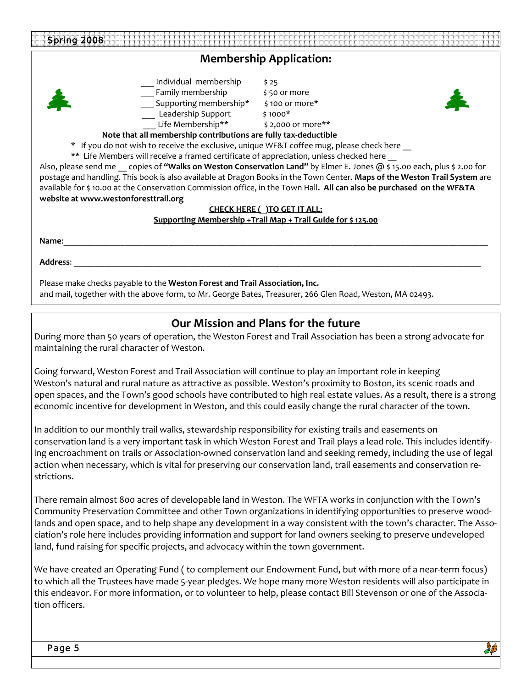| Spring 2008                                                                                                                                                                                                                                                                                                                                                                                                                                                                                                                                            |                                                                                                                                                                                                                                                                                                                                                                                                                                                                                                                                                                |  |  |  |  |  |  |  |
|--------------------------------------------------------------------------------------------------------------------------------------------------------------------------------------------------------------------------------------------------------------------------------------------------------------------------------------------------------------------------------------------------------------------------------------------------------------------------------------------------------------------------------------------------------|----------------------------------------------------------------------------------------------------------------------------------------------------------------------------------------------------------------------------------------------------------------------------------------------------------------------------------------------------------------------------------------------------------------------------------------------------------------------------------------------------------------------------------------------------------------|--|--|--|--|--|--|--|
| <b>Membership Application:</b>                                                                                                                                                                                                                                                                                                                                                                                                                                                                                                                         |                                                                                                                                                                                                                                                                                                                                                                                                                                                                                                                                                                |  |  |  |  |  |  |  |
| Individual membership<br>Family membership<br>___ Supporting membership*<br>__ Leadership Support<br>Life Membership**<br>Note that all membership contributions are fully tax-deductible<br>* If you do not wish to receive the exclusive, unique WF&T coffee mug, please check here<br>** Life Members will receive a framed certificate of appreciation, unless checked here<br>website at www.westonforesttrail.org<br>Name:                                                                                                                       | \$25<br>\$50 or more<br>\$100 or more*<br>$$1000*$<br>\$2,000 or more**<br>Also, please send me copies of "Walks on Weston Conservation Land" by Elmer E. Jones @ \$ 15.00 each, plus \$ 2.00 for<br>postage and handling. This book is also available at Dragon Books in the Town Center. Maps of the Weston Trail System are<br>available for \$10.00 at the Conservation Commission office, in the Town Hall. All can also be purchased on the WF&TA<br><b>CHECK HERE ( ) TO GET IT ALL:</b><br>Supporting Membership +Trail Map + Trail Guide for \$125.00 |  |  |  |  |  |  |  |
| <b>Address:</b><br>Please make checks payable to the Weston Forest and Trail Association, Inc.<br>and mail, together with the above form, to Mr. George Bates, Treasurer, 266 Glen Road, Weston, MA 02493.                                                                                                                                                                                                                                                                                                                                             |                                                                                                                                                                                                                                                                                                                                                                                                                                                                                                                                                                |  |  |  |  |  |  |  |
| Our Mission and Plans for the future<br>During more than 50 years of operation, the Weston Forest and Trail Association has been a strong advocate for<br>maintaining the rural character of Weston.                                                                                                                                                                                                                                                                                                                                                   |                                                                                                                                                                                                                                                                                                                                                                                                                                                                                                                                                                |  |  |  |  |  |  |  |
| Going forward, Weston Forest and Trail Association will continue to play an important role in keeping<br>Weston's natural and rural nature as attractive as possible. Weston's proximity to Boston, its scenic roads and<br>open spaces, and the Town's good schools have contributed to high real estate values. As a result, there is a strong<br>economic incentive for development in Weston, and this could easily change the rural character of the town.                                                                                        |                                                                                                                                                                                                                                                                                                                                                                                                                                                                                                                                                                |  |  |  |  |  |  |  |
| In addition to our monthly trail walks, stewardship responsibility for existing trails and easements on<br>conservation land is a very important task in which Weston Forest and Trail plays a lead role. This includes identify-<br>ing encroachment on trails or Association-owned conservation land and seeking remedy, including the use of legal<br>action when necessary, which is vital for preserving our conservation land, trail easements and conservation re-<br>strictions.                                                               |                                                                                                                                                                                                                                                                                                                                                                                                                                                                                                                                                                |  |  |  |  |  |  |  |
| There remain almost 800 acres of developable land in Weston. The WFTA works in conjunction with the Town's<br>Community Preservation Committee and other Town organizations in identifying opportunities to preserve wood-<br>lands and open space, and to help shape any development in a way consistent with the town's character. The Asso-<br>ciation's role here includes providing information and support for land owners seeking to preserve undeveloped<br>land, fund raising for specific projects, and advocacy within the town government. |                                                                                                                                                                                                                                                                                                                                                                                                                                                                                                                                                                |  |  |  |  |  |  |  |
| We have created an Operating Fund (to complement our Endowment Fund, but with more of a near-term focus)<br>to which all the Trustees have made 5-year pledges. We hope many more Weston residents will also participate in<br>this endeavor. For more information, or to volunteer to help, please contact Bill Stevenson or one of the Associa-                                                                                                                                                                                                      |                                                                                                                                                                                                                                                                                                                                                                                                                                                                                                                                                                |  |  |  |  |  |  |  |

tion officers.